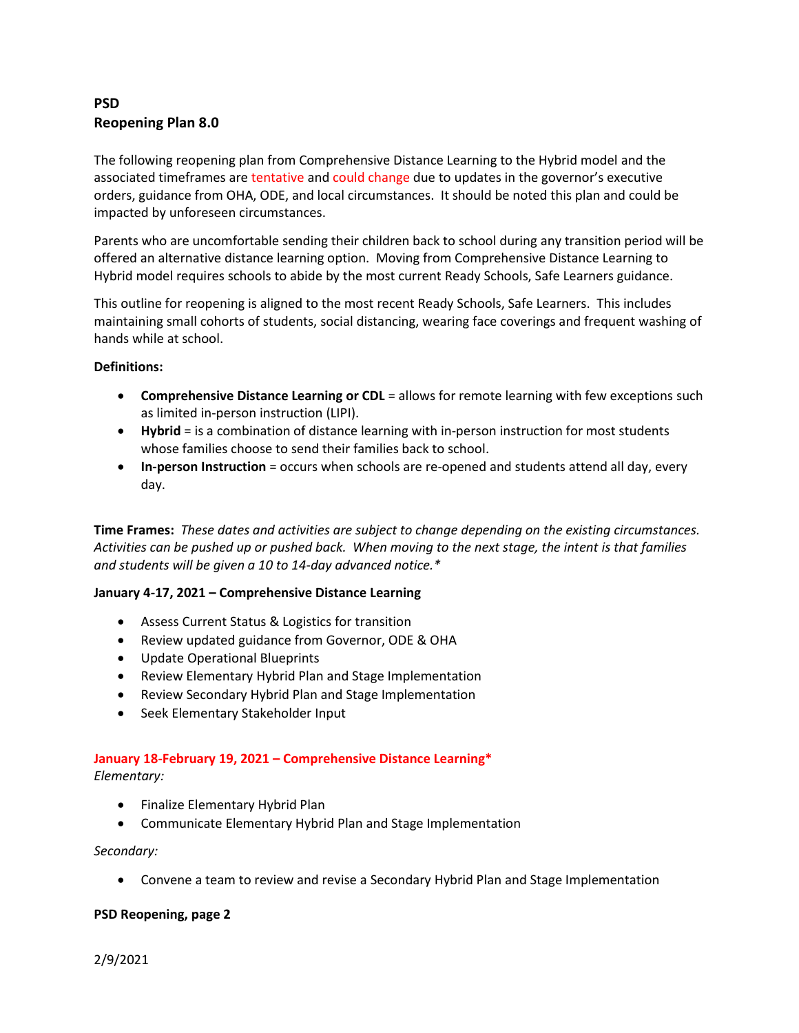### **PSD Reopening Plan 8.0**

The following reopening plan from Comprehensive Distance Learning to the Hybrid model and the associated timeframes are tentative and could change due to updates in the governor's executive orders, guidance from OHA, ODE, and local circumstances. It should be noted this plan and could be impacted by unforeseen circumstances.

Parents who are uncomfortable sending their children back to school during any transition period will be offered an alternative distance learning option. Moving from Comprehensive Distance Learning to Hybrid model requires schools to abide by the most current Ready Schools, Safe Learners guidance.

This outline for reopening is aligned to the most recent Ready Schools, Safe Learners. This includes maintaining small cohorts of students, social distancing, wearing face coverings and frequent washing of hands while at school.

#### **Definitions:**

- **Comprehensive Distance Learning or CDL** = allows for remote learning with few exceptions such as limited in-person instruction (LIPI).
- **Hybrid** = is a combination of distance learning with in-person instruction for most students whose families choose to send their families back to school.
- **In-person Instruction** = occurs when schools are re-opened and students attend all day, every day.

**Time Frames:** *These dates and activities are subject to change depending on the existing circumstances. Activities can be pushed up or pushed back. When moving to the next stage, the intent is that families and students will be given a 10 to 14-day advanced notice.\**

#### **January 4-17, 2021 – Comprehensive Distance Learning**

- Assess Current Status & Logistics for transition
- Review updated guidance from Governor, ODE & OHA
- Update Operational Blueprints
- Review Elementary Hybrid Plan and Stage Implementation
- Review Secondary Hybrid Plan and Stage Implementation
- Seek Elementary Stakeholder Input

# **January 18-February 19, 2021 – Comprehensive Distance Learning\***

*Elementary:*

- Finalize Elementary Hybrid Plan
- Communicate Elementary Hybrid Plan and Stage Implementation

#### *Secondary:*

• Convene a team to review and revise a Secondary Hybrid Plan and Stage Implementation

#### **PSD Reopening, page 2**